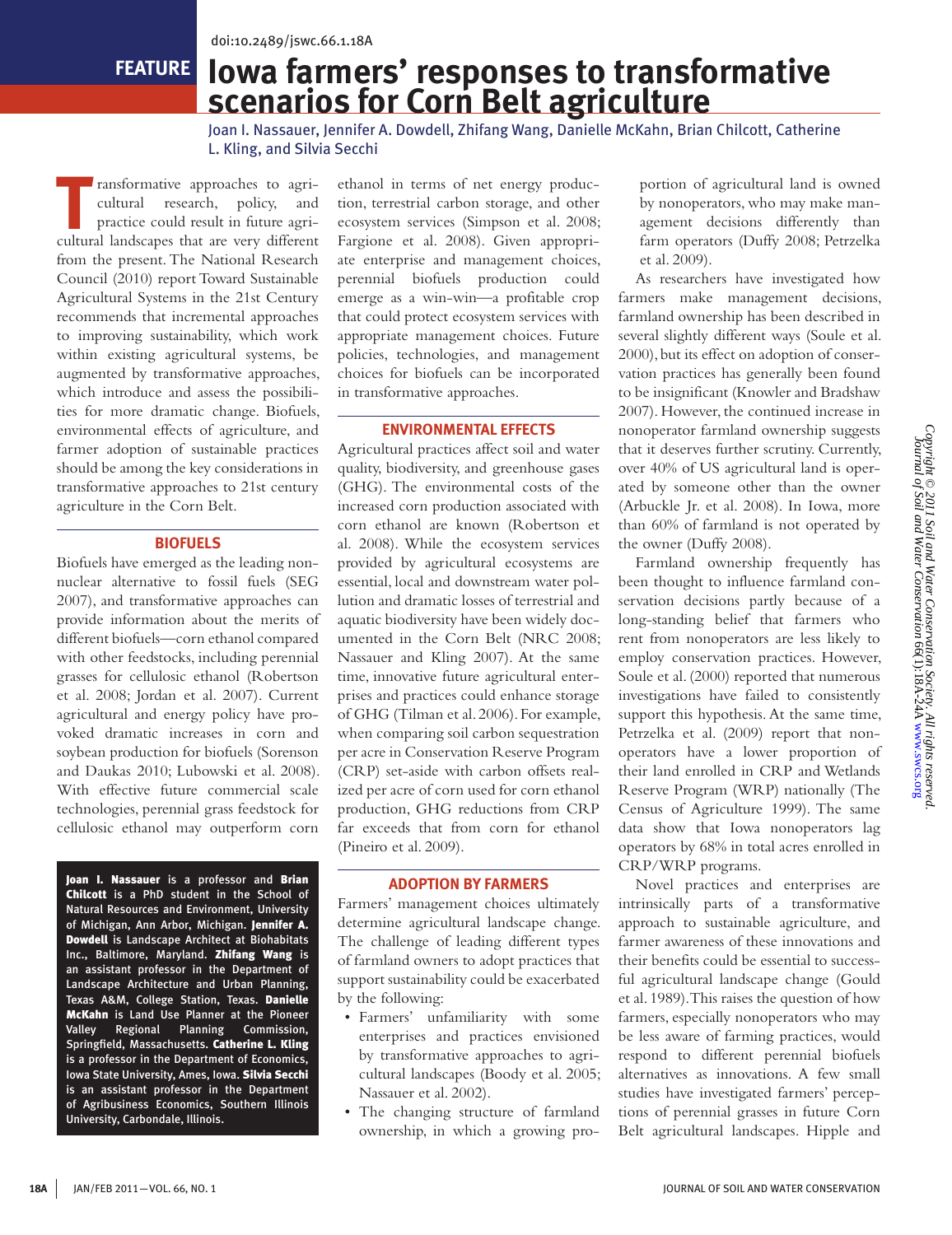**feature**

# **Iowa farmers' responses to transformative scenarios for Corn Belt agriculture**

Joan I. Nassauer, Jennifer A. Dowdell, Zhifang Wang, Danielle McKahn, Brian Chilcott, Catherine L. Kling, and Silvia Secchi

ransformative approaches to agri-<br>
cultural research, policy, and<br>
practice could result in future agricultural research, policy, and cultural landscapes that are very different from the present. The National Research Council (2010) report Toward Sustainable Agricultural Systems in the 21st Century recommends that incremental approaches to improving sustainability, which work within existing agricultural systems, be augmented by transformative approaches, which introduce and assess the possibilities for more dramatic change. Biofuels, environmental effects of agriculture, and farmer adoption of sustainable practices should be among the key considerations in transformative approaches to 21st century agriculture in the Corn Belt.

#### **Biofuels**

Biofuels have emerged as the leading nonnuclear alternative to fossil fuels (SEG 2007), and transformative approaches can provide information about the merits of different biofuels—corn ethanol compared with other feedstocks, including perennial grasses for cellulosic ethanol (Robertson et al. 2008; Jordan et al. 2007). Current agricultural and energy policy have provoked dramatic increases in corn and soybean production for biofuels (Sorenson and Daukas 2010; Lubowski et al. 2008). With effective future commercial scale technologies, perennial grass feedstock for cellulosic ethanol may outperform corn

Joan I. Nassauer is a professor and Brian Chilcott is a PhD student in the School of Natural Resources and Environment, University of Michigan, Ann Arbor, Michigan. Jennifer A. Dowdell is Landscape Architect at Biohabitats Inc., Baltimore, Maryland. Zhifang Wang is an assistant professor in the Department of Landscape Architecture and Urban Planning, Texas A&M, College Station, Texas. Danielle McKahn is Land Use Planner at the Pioneer Valley Regional Planning Commission, Springfield, Massachusetts. Catherine L. Kling is a professor in the Department of Economics, Iowa State University, Ames, Iowa. Silvia Secchi is an assistant professor in the Department of Agribusiness Economics, Southern Illinois University, Carbondale, Illinois.

ethanol in terms of net energy production, terrestrial carbon storage, and other ecosystem services (Simpson et al. 2008; Fargione et al. 2008). Given appropriate enterprise and management choices, perennial biofuels production could emerge as a win-win—a profitable crop that could protect ecosystem services with appropriate management choices. Future policies, technologies, and management choices for biofuels can be incorporated in transformative approaches.

## **Environmental effects**

Agricultural practices affect soil and water quality, biodiversity, and greenhouse gases (GHG). The environmental costs of the increased corn production associated with corn ethanol are known (Robertson et al. 2008). While the ecosystem services provided by agricultural ecosystems are essential, local and downstream water pollution and dramatic losses of terrestrial and aquatic biodiversity have been widely documented in the Corn Belt (NRC 2008; Nassauer and Kling 2007). At the same time, innovative future agricultural enterprises and practices could enhance storage of GHG (Tilman et al. 2006). For example, when comparing soil carbon sequestration per acre in Conservation Reserve Program (CRP) set-aside with carbon offsets realized per acre of corn used for corn ethanol production, GHG reductions from CRP far exceeds that from corn for ethanol (Pineiro et al. 2009).

## **Adoption by farmers**

Farmers' management choices ultimately determine agricultural landscape change. The challenge of leading different types of farmland owners to adopt practices that support sustainability could be exacerbated by the following:

- Farmers' unfamiliarity with some enterprises and practices envisioned by transformative approaches to agricultural landscapes (Boody et al. 2005; Nassauer et al. 2002).
- The changing structure of farmland ownership, in which a growing pro-

portion of agricultural land is owned by nonoperators, who may make management decisions differently than farm operators (Duffy 2008; Petrzelka et al. 2009).

As researchers have investigated how farmers make management decisions, farmland ownership has been described in several slightly different ways (Soule et al. 2000), but its effect on adoption of conservation practices has generally been found to be insignificant (Knowler and Bradshaw 2007). However, the continued increase in nonoperator farmland ownership suggests that it deserves further scrutiny. Currently, over 40% of US agricultural land is operated by someone other than the owner (Arbuckle Jr. et al. 2008). In Iowa, more than 60% of farmland is not operated by the owner (Duffy 2008).

Farmland ownership frequently has been thought to influence farmland conservation decisions partly because of a long-standing belief that farmers who rent from nonoperators are less likely to employ conservation practices. However, Soule et al. (2000) reported that numerous investigations have failed to consistently support this hypothesis. At the same time, Petrzelka et al. (2009) report that nonoperators have a lower proportion of their land enrolled in CRP and Wetlands Reserve Program (WRP) nationally (The Census of Agriculture 1999). The same data show that Iowa nonoperators lag operators by 68% in total acres enrolled in CRP/WRP programs.

Novel practices and enterprises are intrinsically parts of a transformative approach to sustainable agriculture, and farmer awareness of these innovations and their benefits could be essential to successful agricultural landscape change (Gould et al. 1989). This raises the question of how farmers, especially nonoperators who may be less aware of farming practices, would respond to different perennial biofuels alternatives as innovations. A few small studies have investigated farmers' perceptions of perennial grasses in future Corn Belt agricultural landscapes. Hipple and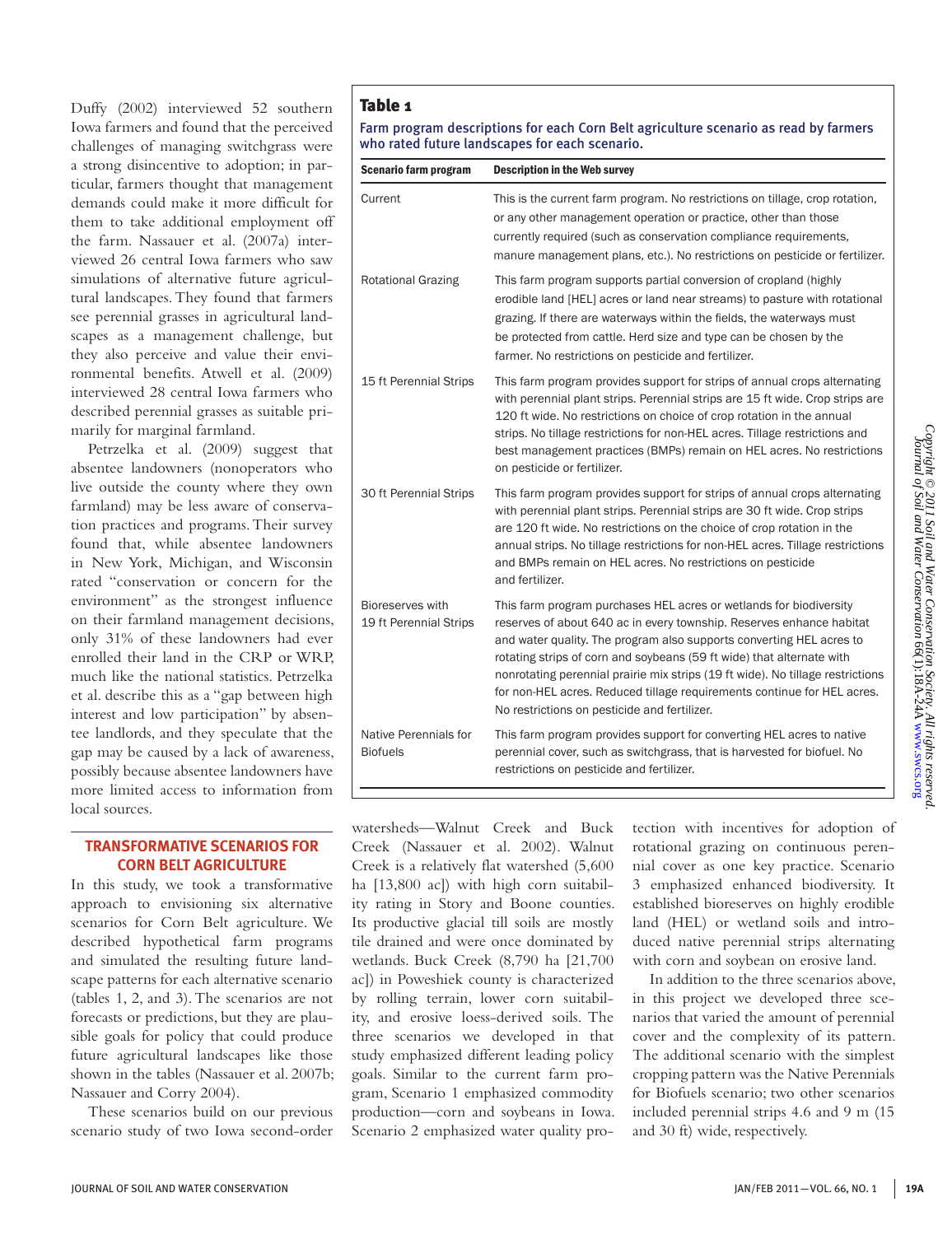Duffy (2002) interviewed 52 southern Iowa farmers and found that the perceived challenges of managing switchgrass were a strong disincentive to adoption; in particular, farmers thought that management demands could make it more difficult for them to take additional employment off the farm. Nassauer et al. (2007a) interviewed 26 central Iowa farmers who saw simulations of alternative future agricultural landscapes. They found that farmers see perennial grasses in agricultural landscapes as a management challenge, but they also perceive and value their environmental benefits. Atwell et al. (2009) interviewed 28 central Iowa farmers who described perennial grasses as suitable primarily for marginal farmland.

Petrzelka et al. (2009) suggest that absentee landowners (nonoperators who live outside the county where they own farmland) may be less aware of conservation practices and programs. Their survey found that, while absentee landowners in New York, Michigan, and Wisconsin rated "conservation or concern for the environment" as the strongest influence on their farmland management decisions, only 31% of these landowners had ever enrolled their land in the CRP or WRP, much like the national statistics. Petrzelka et al. describe this as a "gap between high interest and low participation" by absentee landlords, and they speculate that the gap may be caused by a lack of awareness, possibly because absentee landowners have more limited access to information from local sources.

## **TRANSFORMATIVE SCENARIOS FOR CORN BELT AGRICULTURE**

In this study, we took a transformative approach to envisioning six alternative scenarios for Corn Belt agriculture. We described hypothetical farm programs and simulated the resulting future landscape patterns for each alternative scenario (tables 1, 2, and 3). The scenarios are not forecasts or predictions, but they are plausible goals for policy that could produce future agricultural landscapes like those shown in the tables (Nassauer et al. 2007b; Nassauer and Corry 2004).

These scenarios build on our previous scenario study of two Iowa second-order

# Table 1

Farm program descriptions for each Corn Belt agriculture scenario as read by farmers who rated future landscapes for each scenario.

| Scenario farm program                      | <b>Description in the Web survey</b>                                                                                                                                                                                                                                                                                                                                                                                                                                                                     |
|--------------------------------------------|----------------------------------------------------------------------------------------------------------------------------------------------------------------------------------------------------------------------------------------------------------------------------------------------------------------------------------------------------------------------------------------------------------------------------------------------------------------------------------------------------------|
| Current                                    | This is the current farm program. No restrictions on tillage, crop rotation,<br>or any other management operation or practice, other than those<br>currently required (such as conservation compliance requirements,<br>manure management plans, etc.). No restrictions on pesticide or fertilizer.                                                                                                                                                                                                      |
| <b>Rotational Grazing</b>                  | This farm program supports partial conversion of cropland (highly<br>erodible land [HEL] acres or land near streams) to pasture with rotational<br>grazing. If there are waterways within the fields, the waterways must<br>be protected from cattle. Herd size and type can be chosen by the<br>farmer. No restrictions on pesticide and fertilizer.                                                                                                                                                    |
| 15 ft Perennial Strips                     | This farm program provides support for strips of annual crops alternating<br>with perennial plant strips. Perennial strips are 15 ft wide. Crop strips are<br>120 ft wide. No restrictions on choice of crop rotation in the annual<br>strips. No tillage restrictions for non-HEL acres. Tillage restrictions and<br>best management practices (BMPs) remain on HEL acres. No restrictions<br>on pesticide or fertilizer.                                                                               |
| 30 ft Perennial Strips                     | This farm program provides support for strips of annual crops alternating<br>with perennial plant strips. Perennial strips are 30 ft wide. Crop strips<br>are 120 ft wide. No restrictions on the choice of crop rotation in the<br>annual strips. No tillage restrictions for non-HEL acres. Tillage restrictions<br>and BMPs remain on HEL acres. No restrictions on pesticide<br>and fertilizer.                                                                                                      |
| Bioreserves with<br>19 ft Perennial Strips | This farm program purchases HEL acres or wetlands for biodiversity<br>reserves of about 640 ac in every township. Reserves enhance habitat<br>and water quality. The program also supports converting HEL acres to<br>rotating strips of corn and soybeans (59 ft wide) that alternate with<br>nonrotating perennial prairie mix strips (19 ft wide). No tillage restrictions<br>for non-HEL acres. Reduced tillage requirements continue for HEL acres.<br>No restrictions on pesticide and fertilizer. |
| Native Perennials for<br><b>Biofuels</b>   | This farm program provides support for converting HEL acres to native<br>perennial cover, such as switchgrass, that is harvested for biofuel. No<br>restrictions on pesticide and fertilizer.                                                                                                                                                                                                                                                                                                            |

watersheds—Walnut Creek and Buck Creek (Nassauer et al. 2002). Walnut Creek is a relatively flat watershed (5,600 ha [13,800 ac]) with high corn suitability rating in Story and Boone counties. Its productive glacial till soils are mostly tile drained and were once dominated by wetlands. Buck Creek (8,790 ha [21,700 ac]) in Poweshiek county is characterized by rolling terrain, lower corn suitability, and erosive loess-derived soils. The three scenarios we developed in that study emphasized different leading policy goals. Similar to the current farm program, Scenario 1 emphasized commodity production—corn and soybeans in Iowa. Scenario 2 emphasized water quality protection with incentives for adoption of rotational grazing on continuous perennial cover as one key practice. Scenario 3 emphasized enhanced biodiversity. It established bioreserves on highly erodible land (HEL) or wetland soils and introduced native perennial strips alternating with corn and soybean on erosive land.

In addition to the three scenarios above, in this project we developed three scenarios that varied the amount of perennial cover and the complexity of its pattern. The additional scenario with the simplest cropping pattern was the Native Perennials for Biofuels scenario; two other scenarios included perennial strips 4.6 and 9 m (15 and 30 ft) wide, respectively.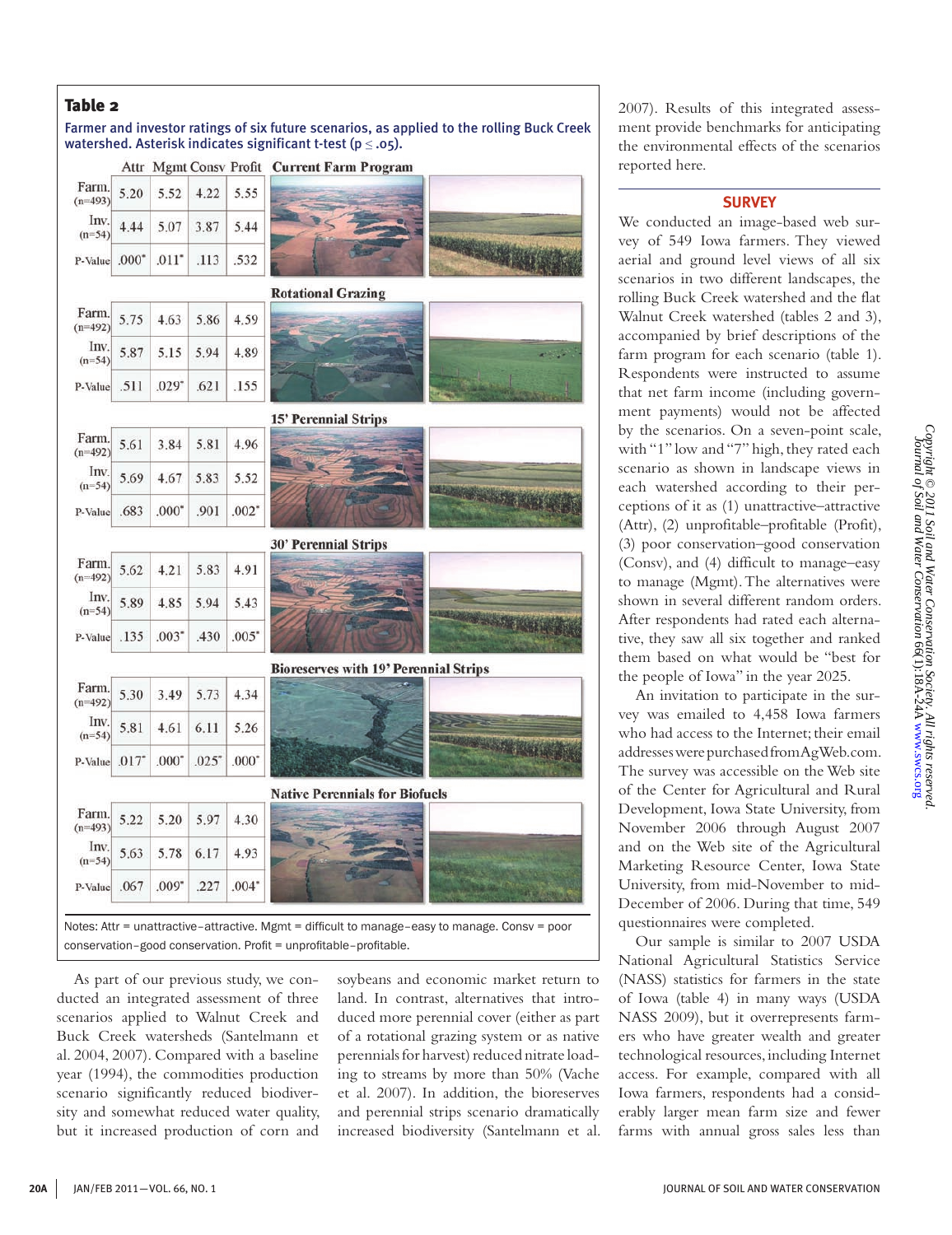## Table 2

Farmer and investor ratings of six future scenarios, as applied to the rolling Buck Creek watershed. Asterisk indicates significant t-test ( $p \leq .05$ ).

|                             |         |                     |                                                                   |         | Attr Mgmt Consv Profit Current Farm Program                                                    |
|-----------------------------|---------|---------------------|-------------------------------------------------------------------|---------|------------------------------------------------------------------------------------------------|
| Farm.<br>$(n=493)$          | 5.20    | 5.52                | 4.22                                                              | 5.55    |                                                                                                |
| Inv.<br>$(n=54)$            | 4.44    | 5.07                | 3.87                                                              | 5.44    |                                                                                                |
| P-Value                     | $.000*$ | $.011$ <sup>*</sup> | .113                                                              | .532    |                                                                                                |
|                             |         |                     |                                                                   |         | <b>Rotational Grazing</b>                                                                      |
| Farm.<br>$(n=492)$          | 5.75    | 4.63                | 5.86                                                              | 4.59    |                                                                                                |
| Inv.<br>$(n=54)$            | 5.87    | 5.15                | 5.94                                                              | 4.89    |                                                                                                |
| P-Value                     | .511    | $.029*$             | .621                                                              | .155    |                                                                                                |
|                             |         |                     |                                                                   |         | <b>15' Perennial Strips</b>                                                                    |
| Farm<br>$(n=492)$           | 5.61    | 3.84                | 5.81                                                              | 4.96    |                                                                                                |
| Inv.<br>$(n=54)$            | 5.69    | 4.67                | 5.83                                                              | 5.52    |                                                                                                |
| P-Value                     | .683    | $.000*$             | .901                                                              | $.002*$ |                                                                                                |
|                             |         |                     |                                                                   |         | <b>30' Perennial Strips</b>                                                                    |
| Farm.<br>$(n=492)$          | 5.62    | 4.21                | 5.83                                                              | 4.91    |                                                                                                |
| Inv.<br>$(n=54)$            | 5.89    | 4.85                | 5.94                                                              | 5.43    |                                                                                                |
| P-Value                     | .135    | .003"               | .430                                                              | .005"   |                                                                                                |
|                             |         |                     |                                                                   |         | <b>Bioreserves with 19' Perennial Strips</b>                                                   |
| Farm.<br>$(n=492)$          | 5.30    | 3.49                | 5.73                                                              | 4.34    |                                                                                                |
| Inv.<br>$(n=54)$            | 5.81    | 4.61                | 6.11                                                              | 5.26    |                                                                                                |
| P-Value $.017$ <sup>*</sup> |         | $.000*$             | .025"                                                             | $.000*$ |                                                                                                |
|                             |         |                     |                                                                   |         | <b>Native Perennials for Biofuels</b>                                                          |
| Farm.<br>$(n=493)$          | 5.22    | 5.20                | 5.97                                                              | 4.30    |                                                                                                |
| Inv.<br>$(n=54)$            | 5.63    | 5.78                | 6.17                                                              | 4.93    |                                                                                                |
| P-Value                     | .067    | .009"               | .227                                                              | $.004*$ |                                                                                                |
|                             |         |                     | conservation-good conservation. Profit = unprofitable-profitable. |         | Notes: Attr = unattractive-attractive. Mgmt = difficult to manage-easy to manage. Consv = poor |

As part of our previous study, we conducted an integrated assessment of three scenarios applied to Walnut Creek and Buck Creek watersheds (Santelmann et al. 2004, 2007). Compared with a baseline year (1994), the commodities production scenario significantly reduced biodiversity and somewhat reduced water quality, but it increased production of corn and

soybeans and economic market return to land. In contrast, alternatives that introduced more perennial cover (either as part of a rotational grazing system or as native perennials for harvest) reduced nitrate loading to streams by more than 50% (Vache et al. 2007). In addition, the bioreserves and perennial strips scenario dramatically increased biodiversity (Santelmann et al. 2007). Results of this integrated assessment provide benchmarks for anticipating the environmental effects of the scenarios reported here.

#### **SURVEY**

We conducted an image-based web survey of 549 Iowa farmers. They viewed aerial and ground level views of all six scenarios in two different landscapes, the rolling Buck Creek watershed and the flat Walnut Creek watershed (tables 2 and 3), accompanied by brief descriptions of the farm program for each scenario (table 1). Respondents were instructed to assume that net farm income (including government payments) would not be affected by the scenarios. On a seven-point scale, with "1" low and "7" high, they rated each scenario as shown in landscape views in each watershed according to their perceptions of it as (1) unattractive–attractive (Attr), (2) unprofitable–profitable (Profit), (3) poor conservation–good conservation (Consv), and (4) difficult to manage–easy to manage (Mgmt). The alternatives were shown in several different random orders. After respondents had rated each alternative, they saw all six together and ranked them based on what would be "best for the people of Iowa" in the year 2025.

An invitation to participate in the survey was emailed to 4,458 Iowa farmers who had access to the Internet; their email addresses were purchased from AgWeb.com. The survey was accessible on the Web site of the Center for Agricultural and Rural Development, Iowa State University, from November 2006 through August 2007 and on the Web site of the Agricultural Marketing Resource Center, Iowa State University, from mid-November to mid-December of 2006. During that time, 549 questionnaires were completed.

Our sample is similar to 2007 USDA National Agricultural Statistics Service (NASS) statistics for farmers in the state of Iowa (table 4) in many ways (USDA NASS 2009), but it overrepresents farmers who have greater wealth and greater technological resources, including Internet access. For example, compared with all Iowa farmers, respondents had a considerably larger mean farm size and fewer farms with annual gross sales less than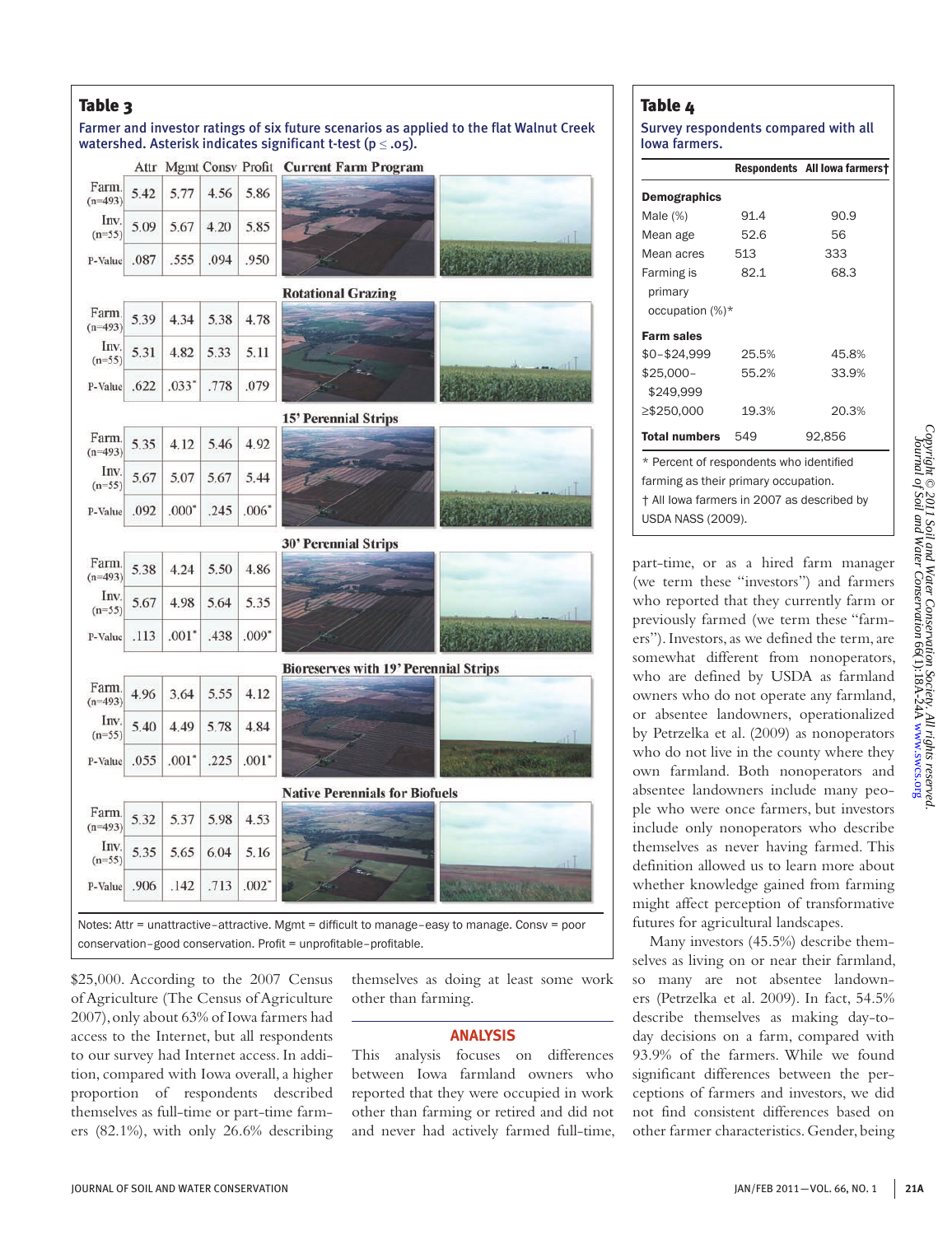# Table 3

## Farmer and investor ratings of six future scenarios as applied to the flat Walnut Creek watershed. Asterisk indicates significant t-test ( $p \leq .05$ ).

|      |                     |      |                     | Attr Mgmt Consv Profit Current Farm Program  |
|------|---------------------|------|---------------------|----------------------------------------------|
| 5.42 | 5.77                | 4.56 | 5.86                |                                              |
| 5.09 | 5.67                | 4.20 | 5.85                |                                              |
| .087 | .555                | .094 | .950                |                                              |
|      |                     |      |                     | <b>Rotational Grazing</b>                    |
| 5.39 | 4.34                | 5.38 | 4.78                |                                              |
| 5.31 | 4.82                | 5.33 | 5.11                |                                              |
| .622 | $.033$ <sup>*</sup> | .778 | .079                |                                              |
|      |                     |      |                     | <b>15' Perennial Strips</b>                  |
| 5.35 | 4.12                | 5.46 | 4.92                |                                              |
| 5.67 | 5.07                | 5.67 | 5.44                |                                              |
| .092 | $.000*$             | .245 | $.006*$             |                                              |
|      |                     |      |                     | <b>30' Perennial Strips</b>                  |
| 5.38 | 4.24                | 5.50 | 4.86                |                                              |
| 5.67 | 4.98                | 5.64 | 5.35                |                                              |
| .113 | .001"               | .438 | $.009*$             |                                              |
|      |                     |      |                     | <b>Bioreserves with 19' Perennial Strips</b> |
| 4.96 | 3.64                | 5.55 | 4.12                |                                              |
| 5.40 | 4.49                | 5.78 | 4.84                | d.                                           |
| .055 | $.001$ <sup>*</sup> | .225 | $.001*$             |                                              |
|      |                     |      |                     | <b>Native Perennials for Biofuels</b>        |
| 5.32 | 5.37                | 5.98 | 4.53                |                                              |
| 5.35 | 5.65                | 6.04 | 5.16                | лU                                           |
| .906 | .142                | .713 | $.002$ <sup>*</sup> |                                              |
|      |                     |      |                     |                                              |

\$25,000. According to the 2007 Census of Agriculture (The Census of Agriculture 2007), only about 63% of Iowa farmers had access to the Internet, but all respondents to our survey had Internet access. In addition, compared with Iowa overall, a higher proportion of respondents described themselves as full-time or part-time farmers (82.1%), with only 26.6% describing

conservation–good conservation. Profit = unprofitable–profitable.

themselves as doing at least some work other than farming.

## **ANALYSIS**

This analysis focuses on differences between Iowa farmland owners who reported that they were occupied in work other than farming or retired and did not and never had actively farmed full-time,

## Table 4

#### Survey respondents compared with all Iowa farmers.

|                                            |       | Respondents All lowa farmers† |  |  |  |
|--------------------------------------------|-------|-------------------------------|--|--|--|
| Demographics                               |       |                               |  |  |  |
| Male $(\%)$                                | 91.4  | 90.9                          |  |  |  |
| Mean age                                   | 52.6  | 56                            |  |  |  |
| Mean acres                                 | 513   | 333                           |  |  |  |
| Farming is                                 | 82.1  | 68.3                          |  |  |  |
| primary                                    |       |                               |  |  |  |
| occupation (%)*                            |       |                               |  |  |  |
| <b>Farm sales</b>                          |       |                               |  |  |  |
| \$0-\$24,999                               | 25.5% | 45.8%                         |  |  |  |
| \$25,000-                                  | 55.2% | 33.9%                         |  |  |  |
| \$249,999                                  |       |                               |  |  |  |
| ≥\$250,000                                 | 19.3% | 20.3%                         |  |  |  |
| <b>Total numbers</b> 549                   |       | 92,856                        |  |  |  |
| * Percent of respondents who identified    |       |                               |  |  |  |
| farming as their primary occupation.       |       |                               |  |  |  |
| † All lowa farmers in 2007 as described by |       |                               |  |  |  |
| USDA NASS (2009).                          |       |                               |  |  |  |

part-time, or as a hired farm manager (we term these "investors") and farmers who reported that they currently farm or previously farmed (we term these "farmers"). Investors, as we defined the term, are somewhat different from nonoperators, who are defined by USDA as farmland owners who do not operate any farmland, or absentee landowners, operationalized by Petrzelka et al. (2009) as nonoperators who do not live in the county where they own farmland. Both nonoperators and absentee landowners include many people who were once farmers, but investors include only nonoperators who describe themselves as never having farmed. This definition allowed us to learn more about whether knowledge gained from farming might affect perception of transformative futures for agricultural landscapes.

Many investors (45.5%) describe themselves as living on or near their farmland, so many are not absentee landowners (Petrzelka et al. 2009). In fact, 54.5% describe themselves as making day-today decisions on a farm, compared with 93.9% of the farmers. While we found significant differences between the perceptions of farmers and investors, we did not find consistent differences based on other farmer characteristics. Gender, being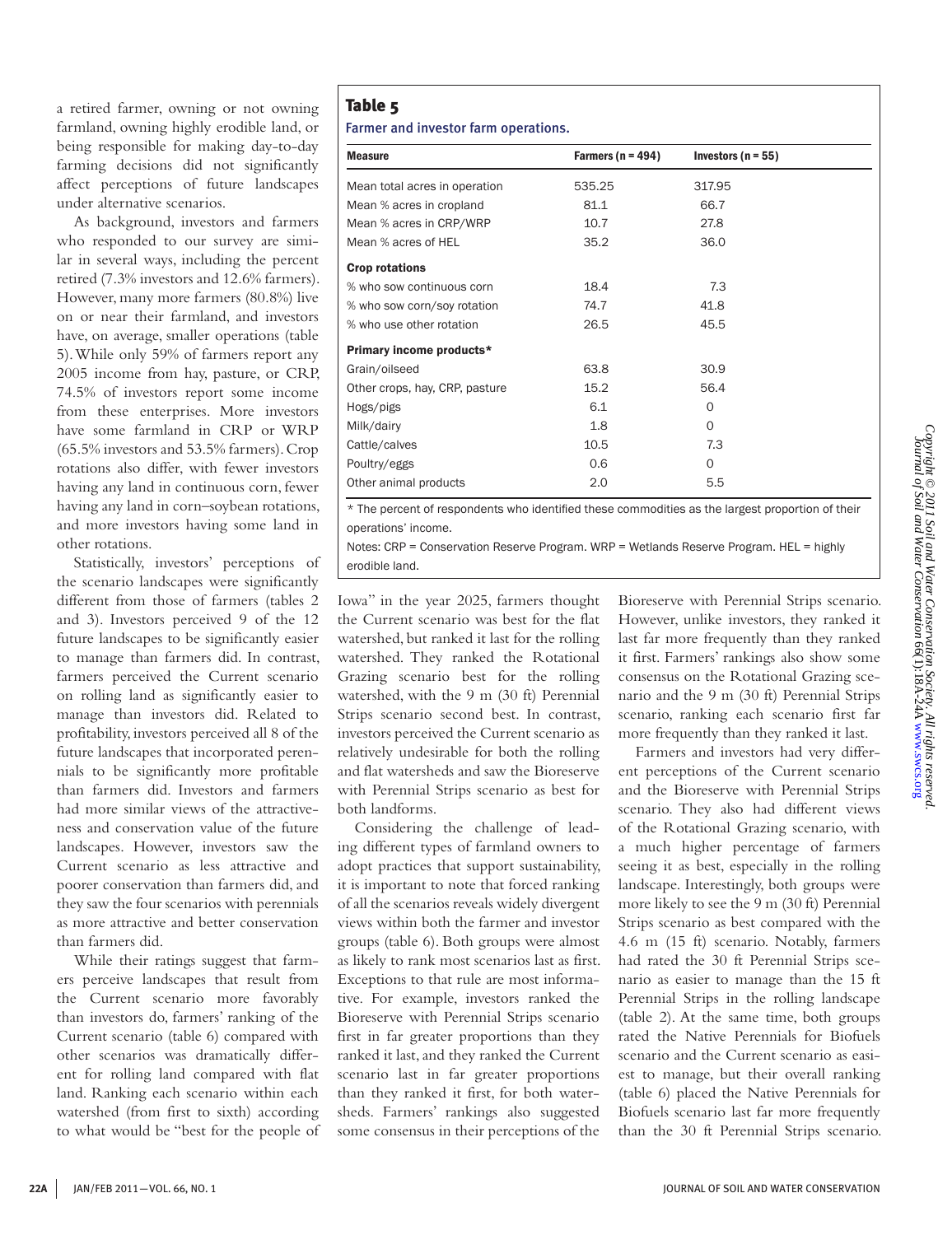a retired farmer, owning or not owning farmland, owning highly erodible land, or being responsible for making day-to-day farming decisions did not significantly affect perceptions of future landscapes under alternative scenarios.

As background, investors and farmers who responded to our survey are similar in several ways, including the percent retired (7.3% investors and 12.6% farmers). However, many more farmers (80.8%) live on or near their farmland, and investors have, on average, smaller operations (table 5). While only 59% of farmers report any 2005 income from hay, pasture, or CRP, 74.5% of investors report some income from these enterprises. More investors have some farmland in CRP or WRP (65.5% investors and 53.5% farmers). Crop rotations also differ, with fewer investors having any land in continuous corn, fewer having any land in corn–soybean rotations, and more investors having some land in other rotations.

Statistically, investors' perceptions of the scenario landscapes were significantly different from those of farmers (tables 2 and 3). Investors perceived 9 of the 12 future landscapes to be significantly easier to manage than farmers did. In contrast, farmers perceived the Current scenario on rolling land as significantly easier to manage than investors did. Related to profitability, investors perceived all 8 of the future landscapes that incorporated perennials to be significantly more profitable than farmers did. Investors and farmers had more similar views of the attractiveness and conservation value of the future landscapes. However, investors saw the Current scenario as less attractive and poorer conservation than farmers did, and they saw the four scenarios with perennials as more attractive and better conservation than farmers did.

While their ratings suggest that farmers perceive landscapes that result from the Current scenario more favorably than investors do, farmers' ranking of the Current scenario (table 6) compared with other scenarios was dramatically different for rolling land compared with flat land. Ranking each scenario within each watershed (from first to sixth) according to what would be "best for the people of

# Table 5

Farmer and investor farm operations.

| <b>Measure</b>                 | Farmers ( $n = 494$ ) | Investors ( $n = 55$ ) |  |
|--------------------------------|-----------------------|------------------------|--|
| Mean total acres in operation  | 535.25                | 317.95                 |  |
| Mean % acres in cropland       | 81.1                  | 66.7                   |  |
| Mean % acres in CRP/WRP        | 10.7                  | 27.8                   |  |
| Mean % acres of HEL            | 35.2                  | 36.0                   |  |
| <b>Crop rotations</b>          |                       |                        |  |
| % who sow continuous corn      | 18.4                  | 7.3                    |  |
| % who sow corn/soy rotation    | 74.7                  | 41.8                   |  |
| % who use other rotation       | 26.5                  | 45.5                   |  |
| Primary income products*       |                       |                        |  |
| Grain/oilseed                  | 63.8                  | 30.9                   |  |
| Other crops, hay, CRP, pasture | 15.2                  | 56.4                   |  |
| Hogs/pigs                      | 6.1                   | 0                      |  |
| Milk/dairy                     | 1.8                   | 0                      |  |
| Cattle/calves                  | 10.5                  | 7.3                    |  |
| Poultry/eggs                   | 0.6                   | 0                      |  |
| Other animal products          | 2.0                   | 5.5                    |  |

\* The percent of respondents who identified these commodities as the largest proportion of their operations' income.

Notes: CRP = Conservation Reserve Program. WRP = Wetlands Reserve Program. HEL = highly erodible land.

Iowa" in the year 2025, farmers thought the Current scenario was best for the flat watershed, but ranked it last for the rolling watershed. They ranked the Rotational Grazing scenario best for the rolling watershed, with the 9 m (30 ft) Perennial Strips scenario second best. In contrast, investors perceived the Current scenario as relatively undesirable for both the rolling and flat watersheds and saw the Bioreserve with Perennial Strips scenario as best for both landforms.

Considering the challenge of leading different types of farmland owners to adopt practices that support sustainability, it is important to note that forced ranking of all the scenarios reveals widely divergent views within both the farmer and investor groups (table 6). Both groups were almost as likely to rank most scenarios last as first. Exceptions to that rule are most informative. For example, investors ranked the Bioreserve with Perennial Strips scenario first in far greater proportions than they ranked it last, and they ranked the Current scenario last in far greater proportions than they ranked it first, for both watersheds. Farmers' rankings also suggested some consensus in their perceptions of the

Bioreserve with Perennial Strips scenario. However, unlike investors, they ranked it last far more frequently than they ranked it first. Farmers' rankings also show some consensus on the Rotational Grazing scenario and the 9 m (30 ft) Perennial Strips scenario, ranking each scenario first far more frequently than they ranked it last.

Farmers and investors had very different perceptions of the Current scenario and the Bioreserve with Perennial Strips scenario. They also had different views of the Rotational Grazing scenario, with a much higher percentage of farmers seeing it as best, especially in the rolling landscape. Interestingly, both groups were more likely to see the 9 m (30 ft) Perennial Strips scenario as best compared with the 4.6 m (15 ft) scenario. Notably, farmers had rated the 30 ft Perennial Strips scenario as easier to manage than the 15 ft Perennial Strips in the rolling landscape (table 2). At the same time, both groups rated the Native Perennials for Biofuels scenario and the Current scenario as easiest to manage, but their overall ranking (table 6) placed the Native Perennials for Biofuels scenario last far more frequently than the 30 ft Perennial Strips scenario.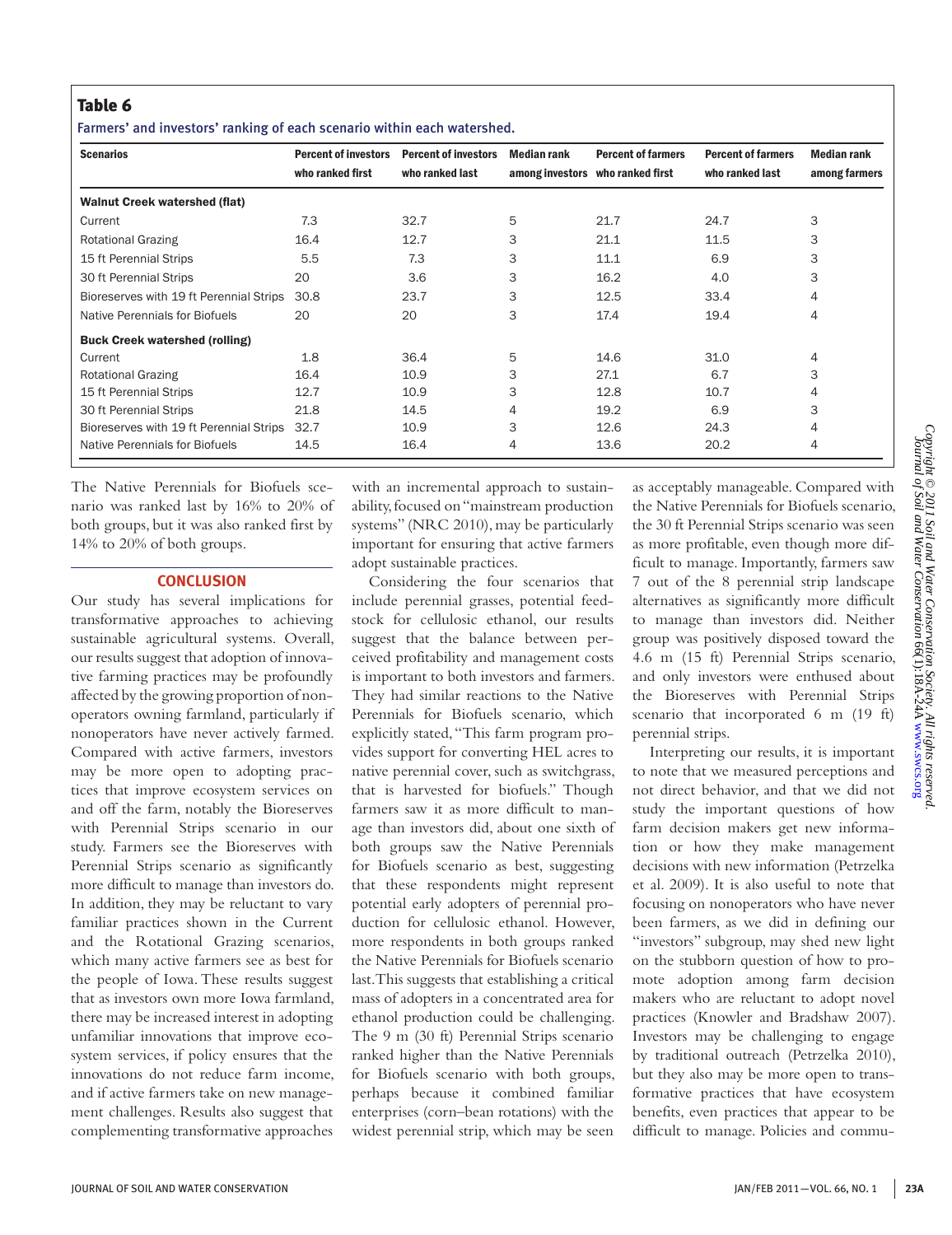Farmers' and investors' ranking of each scenario within each watershed.

| <b>Scenarios</b>                        | <b>Percent of investors</b><br>who ranked first | <b>Percent of investors</b><br>who ranked last | Median rank | <b>Percent of farmers</b><br>among investors who ranked first | <b>Percent of farmers</b><br>who ranked last | <b>Median rank</b><br>among farmers |
|-----------------------------------------|-------------------------------------------------|------------------------------------------------|-------------|---------------------------------------------------------------|----------------------------------------------|-------------------------------------|
| <b>Walnut Creek watershed (flat)</b>    |                                                 |                                                |             |                                                               |                                              |                                     |
| Current                                 | 7.3                                             | 32.7                                           | 5           | 21.7                                                          | 24.7                                         | 3                                   |
| <b>Rotational Grazing</b>               | 16.4                                            | 12.7                                           | 3           | 21.1                                                          | 11.5                                         | 3                                   |
| 15 ft Perennial Strips                  | 5.5                                             | 7.3                                            | 3           | 11.1                                                          | 6.9                                          | 3                                   |
| 30 ft Perennial Strips                  | 20                                              | 3.6                                            | 3           | 16.2                                                          | 4.0                                          | 3                                   |
| Bioreserves with 19 ft Perennial Strips | 30.8                                            | 23.7                                           | 3           | 12.5                                                          | 33.4                                         | 4                                   |
| Native Perennials for Biofuels          | 20                                              | 20                                             | 3           | 17.4                                                          | 19.4                                         | 4                                   |
| <b>Buck Creek watershed (rolling)</b>   |                                                 |                                                |             |                                                               |                                              |                                     |
| Current                                 | 1.8                                             | 36.4                                           | 5           | 14.6                                                          | 31.0                                         | 4                                   |
| <b>Rotational Grazing</b>               | 16.4                                            | 10.9                                           | 3           | 27.1                                                          | 6.7                                          | 3                                   |
| 15 ft Perennial Strips                  | 12.7                                            | 10.9                                           | 3           | 12.8                                                          | 10.7                                         | 4                                   |
| 30 ft Perennial Strips                  | 21.8                                            | 14.5                                           | 4           | 19.2                                                          | 6.9                                          | 3                                   |
| Bioreserves with 19 ft Perennial Strips | 32.7                                            | 10.9                                           | 3           | 12.6                                                          | 24.3                                         | 4                                   |
| Native Perennials for Biofuels          | 14.5                                            | 16.4                                           | 4           | 13.6                                                          | 20.2                                         | 4                                   |

The Native Perennials for Biofuels scenario was ranked last by 16% to 20% of both groups, but it was also ranked first by 14% to 20% of both groups.

## **CONCLUSION**

Our study has several implications for transformative approaches to achieving sustainable agricultural systems. Overall, our results suggest that adoption of innovative farming practices may be profoundly affected by the growing proportion of nonoperators owning farmland, particularly if nonoperators have never actively farmed. Compared with active farmers, investors may be more open to adopting practices that improve ecosystem services on and off the farm, notably the Bioreserves with Perennial Strips scenario in our study. Farmers see the Bioreserves with Perennial Strips scenario as significantly more difficult to manage than investors do. In addition, they may be reluctant to vary familiar practices shown in the Current and the Rotational Grazing scenarios, which many active farmers see as best for the people of Iowa. These results suggest that as investors own more Iowa farmland, there may be increased interest in adopting unfamiliar innovations that improve ecosystem services, if policy ensures that the innovations do not reduce farm income, and if active farmers take on new management challenges. Results also suggest that complementing transformative approaches

with an incremental approach to sustainability, focused on "mainstream production systems" (NRC 2010), may be particularly important for ensuring that active farmers adopt sustainable practices.

Considering the four scenarios that include perennial grasses, potential feedstock for cellulosic ethanol, our results suggest that the balance between perceived profitability and management costs is important to both investors and farmers. They had similar reactions to the Native Perennials for Biofuels scenario, which explicitly stated, "This farm program provides support for converting HEL acres to native perennial cover, such as switchgrass, that is harvested for biofuels." Though farmers saw it as more difficult to manage than investors did, about one sixth of both groups saw the Native Perennials for Biofuels scenario as best, suggesting that these respondents might represent potential early adopters of perennial production for cellulosic ethanol. However, more respondents in both groups ranked the Native Perennials for Biofuels scenario last. This suggests that establishing a critical mass of adopters in a concentrated area for ethanol production could be challenging. The 9 m (30 ft) Perennial Strips scenario ranked higher than the Native Perennials for Biofuels scenario with both groups, perhaps because it combined familiar enterprises (corn–bean rotations) with the widest perennial strip, which may be seen

as acceptably manageable. Compared with the Native Perennials for Biofuels scenario, the 30 ft Perennial Strips scenario was seen as more profitable, even though more difficult to manage. Importantly, farmers saw 7 out of the 8 perennial strip landscape alternatives as significantly more difficult to manage than investors did. Neither group was positively disposed toward the 4.6 m (15 ft) Perennial Strips scenario, and only investors were enthused about the Bioreserves with Perennial Strips scenario that incorporated 6 m (19 ft) perennial strips.

Interpreting our results, it is important to note that we measured perceptions and not direct behavior, and that we did not study the important questions of how farm decision makers get new information or how they make management decisions with new information (Petrzelka et al. 2009). It is also useful to note that focusing on nonoperators who have never been farmers, as we did in defining our "investors" subgroup, may shed new light on the stubborn question of how to promote adoption among farm decision makers who are reluctant to adopt novel practices (Knowler and Bradshaw 2007). Investors may be challenging to engage by traditional outreach (Petrzelka 2010), but they also may be more open to transformative practices that have ecosystem benefits, even practices that appear to be difficult to manage. Policies and commu